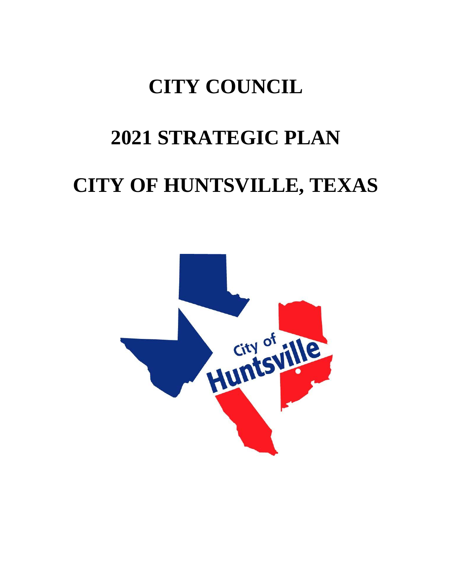# **CITY COUNCIL**

## **2021 STRATEGIC PLAN**

## **CITY OF HUNTSVILLE, TEXAS**

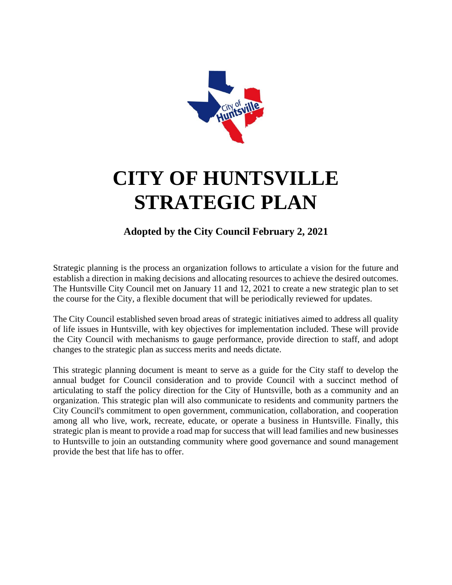

## **CITY OF HUNTSVILLE STRATEGIC PLAN**

### **Adopted by the City Council February 2, 2021**

Strategic planning is the process an organization follows to articulate a vision for the future and establish a direction in making decisions and allocating resources to achieve the desired outcomes. The Huntsville City Council met on January 11 and 12, 2021 to create a new strategic plan to set the course for the City, a flexible document that will be periodically reviewed for updates.

The City Council established seven broad areas of strategic initiatives aimed to address all quality of life issues in Huntsville, with key objectives for implementation included. These will provide the City Council with mechanisms to gauge performance, provide direction to staff, and adopt changes to the strategic plan as success merits and needs dictate.

This strategic planning document is meant to serve as a guide for the City staff to develop the annual budget for Council consideration and to provide Council with a succinct method of articulating to staff the policy direction for the City of Huntsville, both as a community and an organization. This strategic plan will also communicate to residents and community partners the City Council's commitment to open government, communication, collaboration, and cooperation among all who live, work, recreate, educate, or operate a business in Huntsville. Finally, this strategic plan is meant to provide a road map for success that will lead families and new businesses to Huntsville to join an outstanding community where good governance and sound management provide the best that life has to offer.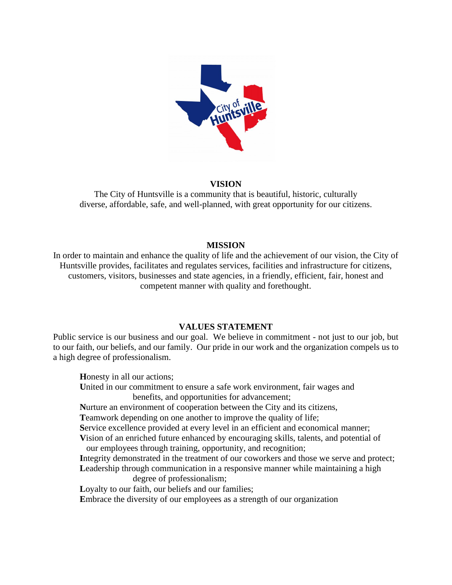

### **VISION**

The City of Huntsville is a community that is beautiful, historic, culturally diverse, affordable, safe, and well-planned, with great opportunity for our citizens.

#### **MISSION**

In order to maintain and enhance the quality of life and the achievement of our vision, the City of Huntsville provides, facilitates and regulates services, facilities and infrastructure for citizens, customers, visitors, businesses and state agencies, in a friendly, efficient, fair, honest and competent manner with quality and forethought.

### **VALUES STATEMENT**

Public service is our business and our goal. We believe in commitment - not just to our job, but to our faith, our beliefs, and our family. Our pride in our work and the organization compels us to a high degree of professionalism.

**H**onesty in all our actions; **U**nited in our commitment to ensure a safe work environment, fair wages and benefits, and opportunities for advancement; **N**urture an environment of cooperation between the City and its citizens, **T**eamwork depending on one another to improve the quality of life; **S**ervice excellence provided at every level in an efficient and economical manner; **V**ision of an enriched future enhanced by encouraging skills, talents, and potential of our employees through training, opportunity, and recognition; **I**ntegrity demonstrated in the treatment of our coworkers and those we serve and protect; Leadership through communication in a responsive manner while maintaining a high degree of professionalism; Loyalty to our faith, our beliefs and our families; **E**mbrace the diversity of our employees as a strength of our organization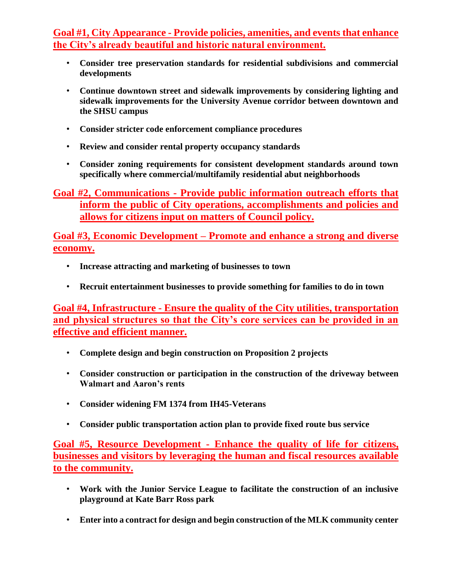**Goal #1, City Appearance - Provide policies, amenities, and events that enhance the City's already beautiful and historic natural environment.** 

- **Consider tree preservation standards for residential subdivisions and commercial developments**
- **Continue downtown street and sidewalk improvements by considering lighting and sidewalk improvements for the University Avenue corridor between downtown and the SHSU campus**
- **Consider stricter code enforcement compliance procedures**
- **Review and consider rental property occupancy standards**
- **Consider zoning requirements for consistent development standards around town specifically where commercial/multifamily residential abut neighborhoods**

**Goal #2, Communications - Provide public information outreach efforts that inform the public of City operations, accomplishments and policies and allows for citizens input on matters of Council policy.** 

**Goal #3, Economic Development – Promote and enhance a strong and diverse economy.**

- **Increase attracting and marketing of businesses to town**
- **Recruit entertainment businesses to provide something for families to do in town**

**Goal #4, Infrastructure - Ensure the quality of the City utilities, transportation and physical structures so that the City's core services can be provided in an effective and efficient manner.**

- **Complete design and begin construction on Proposition 2 projects**
- **Consider construction or participation in the construction of the driveway between Walmart and Aaron's rents**
- **Consider widening FM 1374 from IH45-Veterans**
- **Consider public transportation action plan to provide fixed route bus service**

**Goal #5, Resource Development - Enhance the quality of life for citizens, businesses and visitors by leveraging the human and fiscal resources available to the community.**

- **Work with the Junior Service League to facilitate the construction of an inclusive playground at Kate Barr Ross park**
- **Enter into a contract for design and begin construction of the MLK community center**